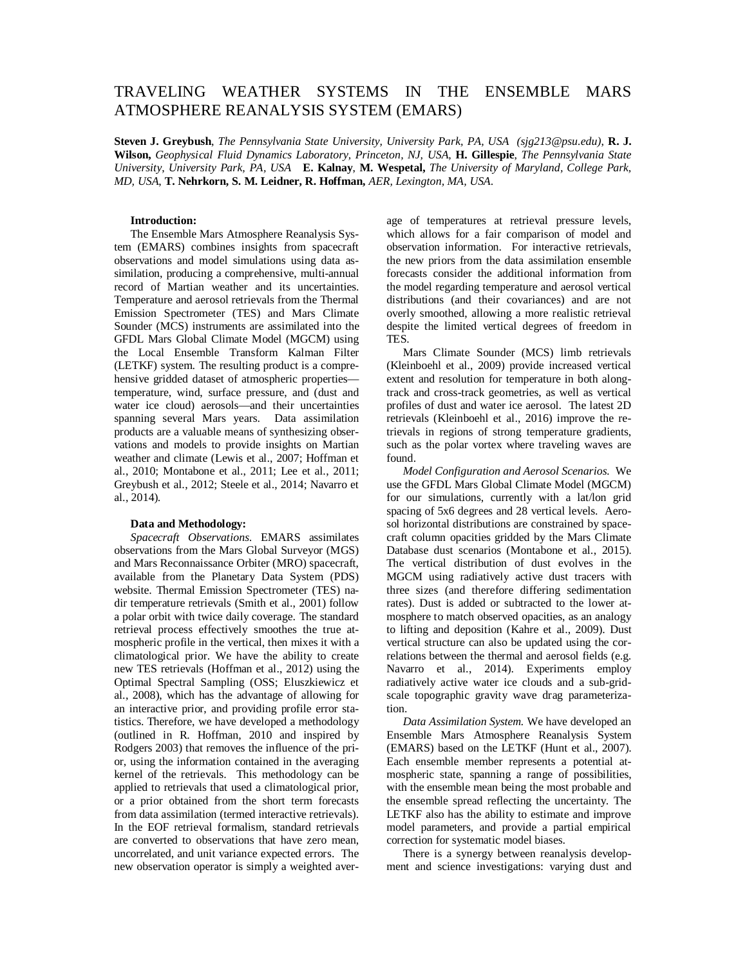# TRAVELING WEATHER SYSTEMS IN THE ENSEMBLE MARS ATMOSPHERE REANALYSIS SYSTEM (EMARS)

**Steven J. Greybush**, *The Pennsylvania State University, University Park, PA, USA (sjg213@psu.edu)*, **R. J. Wilson,** *Geophysical Fluid Dynamics Laboratory, Princeton, NJ, USA,* **H. Gillespie**, *The Pennsylvania State University*, *University Park, PA, USA* **E. Kalnay**, **M. Wespetal,** *The University of Maryland, College Park, MD, USA*, **T. Nehrkorn, S. M. Leidner, R. Hoffman,** *AER, Lexington, MA, USA*.

## **Introduction:**

The Ensemble Mars Atmosphere Reanalysis System (EMARS) combines insights from spacecraft observations and model simulations using data assimilation, producing a comprehensive, multi-annual record of Martian weather and its uncertainties. Temperature and aerosol retrievals from the Thermal Emission Spectrometer (TES) and Mars Climate Sounder (MCS) instruments are assimilated into the GFDL Mars Global Climate Model (MGCM) using the Local Ensemble Transform Kalman Filter (LETKF) system. The resulting product is a comprehensive gridded dataset of atmospheric properties temperature, wind, surface pressure, and (dust and water ice cloud) aerosols—and their uncertainties spanning several Mars years. Data assimilation products are a valuable means of synthesizing observations and models to provide insights on Martian weather and climate (Lewis et al., 2007; Hoffman et al., 2010; Montabone et al., 2011; Lee et al., 2011; Greybush et al., 2012; Steele et al., 2014; Navarro et al., 2014).

### **Data and Methodology:**

*Spacecraft Observations.* EMARS assimilates observations from the Mars Global Surveyor (MGS) and Mars Reconnaissance Orbiter (MRO) spacecraft, available from the Planetary Data System (PDS) website. Thermal Emission Spectrometer (TES) nadir temperature retrievals (Smith et al., 2001) follow a polar orbit with twice daily coverage. The standard retrieval process effectively smoothes the true atmospheric profile in the vertical, then mixes it with a climatological prior. We have the ability to create new TES retrievals (Hoffman et al., 2012) using the Optimal Spectral Sampling (OSS; Eluszkiewicz et al., 2008), which has the advantage of allowing for an interactive prior, and providing profile error statistics. Therefore, we have developed a methodology (outlined in R. Hoffman, 2010 and inspired by Rodgers 2003) that removes the influence of the prior, using the information contained in the averaging kernel of the retrievals. This methodology can be applied to retrievals that used a climatological prior, or a prior obtained from the short term forecasts from data assimilation (termed interactive retrievals). In the EOF retrieval formalism, standard retrievals are converted to observations that have zero mean, uncorrelated, and unit variance expected errors. The new observation operator is simply a weighted aver-

age of temperatures at retrieval pressure levels, which allows for a fair comparison of model and observation information. For interactive retrievals, the new priors from the data assimilation ensemble forecasts consider the additional information from the model regarding temperature and aerosol vertical distributions (and their covariances) and are not overly smoothed, allowing a more realistic retrieval despite the limited vertical degrees of freedom in TES.

Mars Climate Sounder (MCS) limb retrievals (Kleinboehl et al., 2009) provide increased vertical extent and resolution for temperature in both alongtrack and cross-track geometries, as well as vertical profiles of dust and water ice aerosol. The latest 2D retrievals (Kleinboehl et al., 2016) improve the retrievals in regions of strong temperature gradients, such as the polar vortex where traveling waves are found.

*Model Configuration and Aerosol Scenarios.* We use the GFDL Mars Global Climate Model (MGCM) for our simulations, currently with a lat/lon grid spacing of 5x6 degrees and 28 vertical levels. Aerosol horizontal distributions are constrained by spacecraft column opacities gridded by the Mars Climate Database dust scenarios (Montabone et al., 2015). The vertical distribution of dust evolves in the MGCM using radiatively active dust tracers with three sizes (and therefore differing sedimentation rates). Dust is added or subtracted to the lower atmosphere to match observed opacities, as an analogy to lifting and deposition (Kahre et al., 2009). Dust vertical structure can also be updated using the correlations between the thermal and aerosol fields (e.g. Navarro et al., 2014). Experiments employ radiatively active water ice clouds and a sub-gridscale topographic gravity wave drag parameterization.

*Data Assimilation System.* We have developed an Ensemble Mars Atmosphere Reanalysis System (EMARS) based on the LETKF (Hunt et al., 2007). Each ensemble member represents a potential atmospheric state, spanning a range of possibilities, with the ensemble mean being the most probable and the ensemble spread reflecting the uncertainty. The LETKF also has the ability to estimate and improve model parameters, and provide a partial empirical correction for systematic model biases.

There is a synergy between reanalysis development and science investigations: varying dust and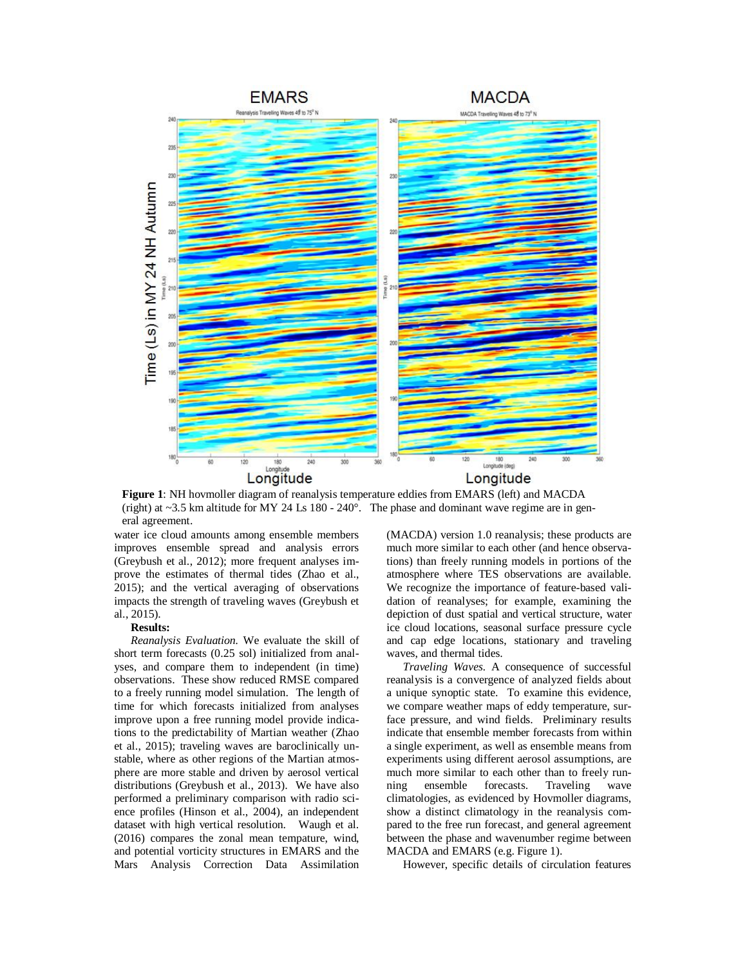

**Figure 1**: NH hovmoller diagram of reanalysis temperature eddies from EMARS (left) and MACDA (right) at  $\sim$  3.5 km altitude for MY 24 Ls 180 - 240 $^{\circ}$ . The phase and dominant wave regime are in general agreement.

water ice cloud amounts among ensemble members improves ensemble spread and analysis errors (Greybush et al., 2012); more frequent analyses improve the estimates of thermal tides (Zhao et al., 2015); and the vertical averaging of observations impacts the strength of traveling waves (Greybush et al., 2015).

#### **Results:**

*Reanalysis Evaluation.* We evaluate the skill of short term forecasts (0.25 sol) initialized from analyses, and compare them to independent (in time) observations. These show reduced RMSE compared to a freely running model simulation. The length of time for which forecasts initialized from analyses improve upon a free running model provide indications to the predictability of Martian weather (Zhao et al., 2015); traveling waves are baroclinically unstable, where as other regions of the Martian atmosphere are more stable and driven by aerosol vertical distributions (Greybush et al., 2013). We have also performed a preliminary comparison with radio science profiles (Hinson et al., 2004), an independent dataset with high vertical resolution. Waugh et al. (2016) compares the zonal mean tempature, wind, and potential vorticity structures in EMARS and the Mars Analysis Correction Data Assimilation

(MACDA) version 1.0 reanalysis; these products are much more similar to each other (and hence observations) than freely running models in portions of the atmosphere where TES observations are available. We recognize the importance of feature-based validation of reanalyses; for example, examining the depiction of dust spatial and vertical structure, water ice cloud locations, seasonal surface pressure cycle and cap edge locations, stationary and traveling waves, and thermal tides.

*Traveling Waves.* A consequence of successful reanalysis is a convergence of analyzed fields about a unique synoptic state. To examine this evidence, we compare weather maps of eddy temperature, surface pressure, and wind fields. Preliminary results indicate that ensemble member forecasts from within a single experiment, as well as ensemble means from experiments using different aerosol assumptions, are much more similar to each other than to freely running ensemble forecasts. Traveling wave climatologies, as evidenced by Hovmoller diagrams, show a distinct climatology in the reanalysis compared to the free run forecast, and general agreement between the phase and wavenumber regime between MACDA and EMARS (e.g. Figure 1).

However, specific details of circulation features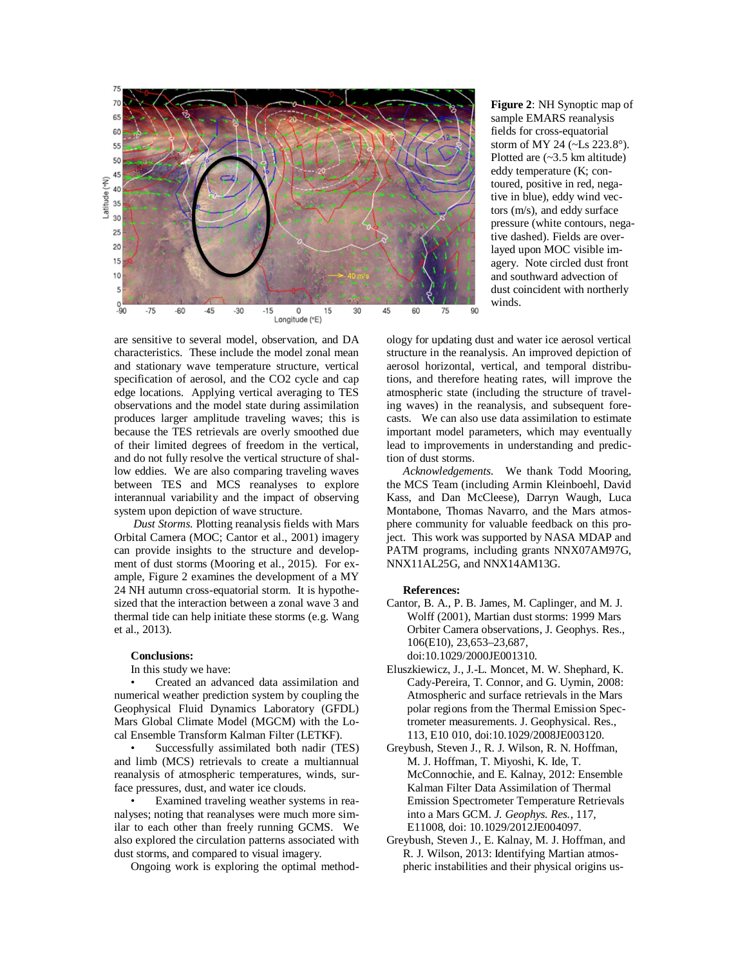

**Figure 2**: NH Synoptic map of sample EMARS reanalysis fields for cross-equatorial storm of MY 24 (~Ls 223.8°). Plotted are (~3.5 km altitude) eddy temperature (K; contoured, positive in red, negative in blue), eddy wind vectors (m/s), and eddy surface pressure (white contours, negative dashed). Fields are overlayed upon MOC visible imagery. Note circled dust front and southward advection of dust coincident with northerly winds.

are sensitive to several model, observation, and DA characteristics. These include the model zonal mean and stationary wave temperature structure, vertical specification of aerosol, and the CO2 cycle and cap edge locations. Applying vertical averaging to TES observations and the model state during assimilation produces larger amplitude traveling waves; this is because the TES retrievals are overly smoothed due of their limited degrees of freedom in the vertical, and do not fully resolve the vertical structure of shallow eddies. We are also comparing traveling waves between TES and MCS reanalyses to explore interannual variability and the impact of observing system upon depiction of wave structure.

*Dust Storms.* Plotting reanalysis fields with Mars Orbital Camera (MOC; Cantor et al., 2001) imagery can provide insights to the structure and development of dust storms (Mooring et al., 2015). For example, Figure 2 examines the development of a MY 24 NH autumn cross-equatorial storm. It is hypothesized that the interaction between a zonal wave 3 and thermal tide can help initiate these storms (e.g. Wang et al., 2013).

#### **Conclusions:**

In this study we have:

• Created an advanced data assimilation and numerical weather prediction system by coupling the Geophysical Fluid Dynamics Laboratory (GFDL) Mars Global Climate Model (MGCM) with the Local Ensemble Transform Kalman Filter (LETKF).

• Successfully assimilated both nadir (TES) and limb (MCS) retrievals to create a multiannual reanalysis of atmospheric temperatures, winds, surface pressures, dust, and water ice clouds.

Examined traveling weather systems in reanalyses; noting that reanalyses were much more similar to each other than freely running GCMS. We also explored the circulation patterns associated with dust storms, and compared to visual imagery.

Ongoing work is exploring the optimal method-

ology for updating dust and water ice aerosol vertical structure in the reanalysis. An improved depiction of aerosol horizontal, vertical, and temporal distributions, and therefore heating rates, will improve the atmospheric state (including the structure of traveling waves) in the reanalysis, and subsequent forecasts. We can also use data assimilation to estimate important model parameters, which may eventually lead to improvements in understanding and prediction of dust storms.

*Acknowledgements.* We thank Todd Mooring, the MCS Team (including Armin Kleinboehl, David Kass, and Dan McCleese), Darryn Waugh, Luca Montabone, Thomas Navarro, and the Mars atmosphere community for valuable feedback on this project. This work was supported by NASA MDAP and PATM programs, including grants NNX07AM97G, NNX11AL25G, and NNX14AM13G.

#### **References:**

- Cantor, B. A., P. B. James, M. Caplinger, and M. J. Wolff (2001), Martian dust storms: 1999 Mars Orbiter Camera observations, J. Geophys. Res., 106(E10), 23,653–23,687, doi:10.1029/2000JE001310.
- Eluszkiewicz, J., J.-L. Moncet, M. W. Shephard, K. Cady-Pereira, T. Connor, and G. Uymin, 2008: Atmospheric and surface retrievals in the Mars polar regions from the Thermal Emission Spectrometer measurements. J. Geophysical. Res., 113, E10 010, doi:10.1029/2008JE003120.
- Greybush, Steven J., R. J. Wilson, R. N. Hoffman, M. J. Hoffman, T. Miyoshi, K. Ide, T. McConnochie, and E. Kalnay, 2012: Ensemble Kalman Filter Data Assimilation of Thermal Emission Spectrometer Temperature Retrievals into a Mars GCM. *J. Geophys. Res.*, 117, E11008, doi: 10.1029/2012JE004097.
- Greybush, Steven J., E. Kalnay, M. J. Hoffman, and R. J. Wilson, 2013: Identifying Martian atmospheric instabilities and their physical origins us-